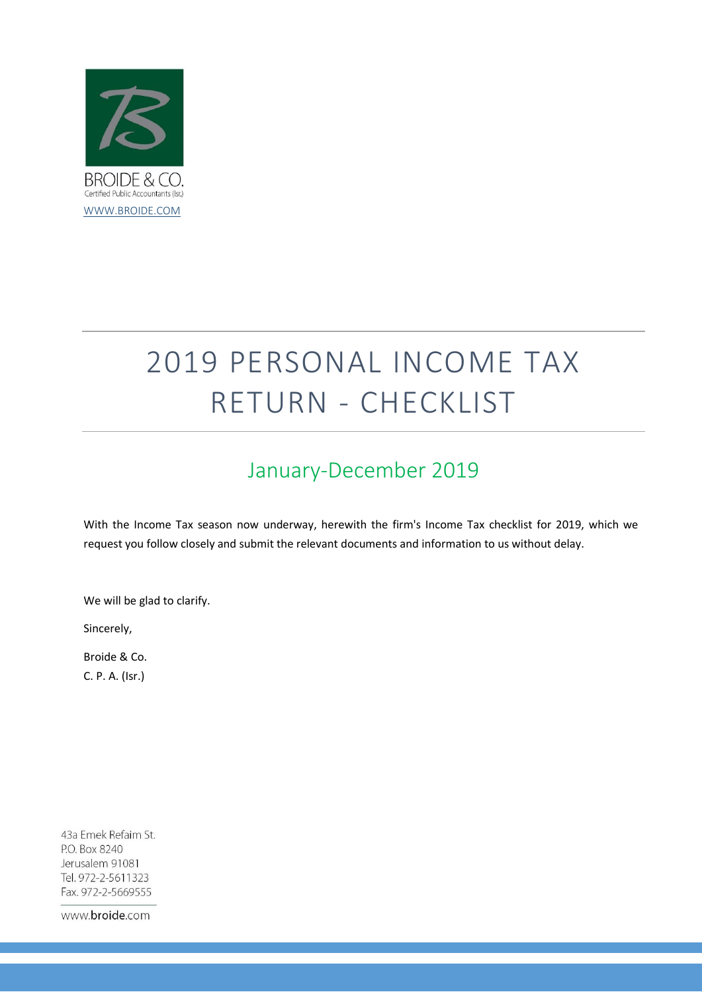

# 2019 PERSONAL INCOME TAX RETURN - CHECKLIST

## January-December 2019

With the Income Tax season now underway, herewith the firm's Income Tax checklist for 2019, which we request you follow closely and submit the relevant documents and information to us without delay.

We will be glad to clarify.

Sincerely,

Broide & Co. C. P. A. (Isr.)

43a Emek Refaim St. P.O. Box 8240 Jerusalem 91081 Tel. 972-2-5611323 Fax. 972-2-5669555

www.broide.com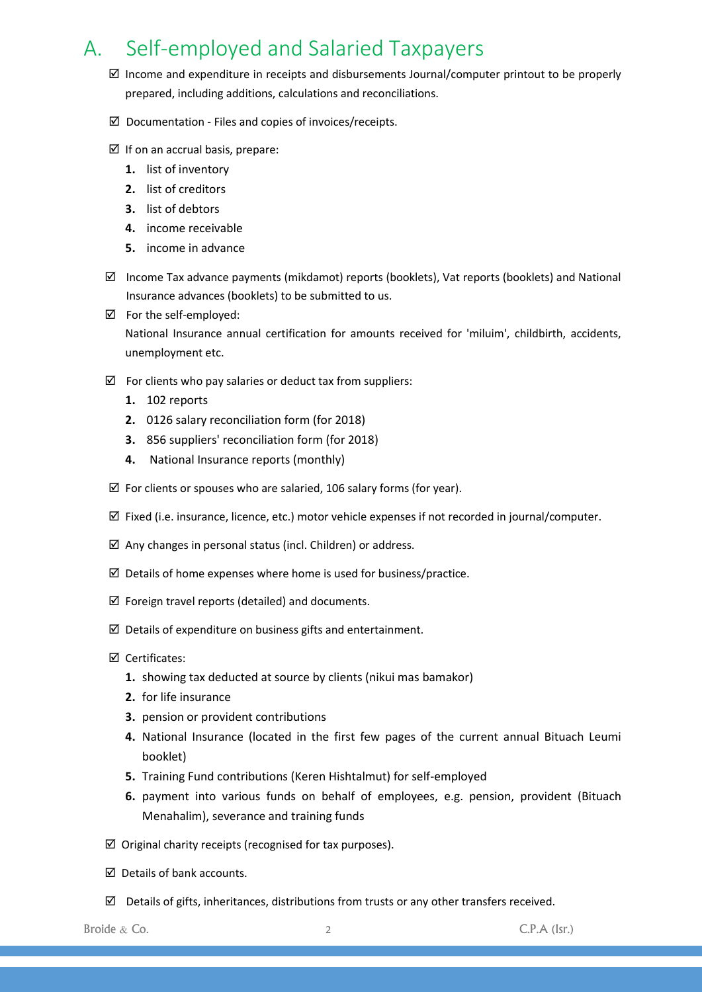### A. Self-employed and Salaried Taxpayers

- $\boxtimes$  Income and expenditure in receipts and disbursements Journal/computer printout to be properly prepared, including additions, calculations and reconciliations.
- $\boxtimes$  Documentation Files and copies of invoices/receipts.
- $\boxtimes$  If on an accrual basis, prepare:
	- **1.** list of inventory
	- **2.** list of creditors
	- **3.** list of debtors
	- **4.** income receivable
	- **5.** income in advance
- $\boxtimes$  Income Tax advance payments (mikdamot) reports (booklets), Vat reports (booklets) and National Insurance advances (booklets) to be submitted to us.
- For the self-employed:

National Insurance annual certification for amounts received for 'miluim', childbirth, accidents, unemployment etc.

- $\boxtimes$  For clients who pay salaries or deduct tax from suppliers:
	- **1.** 102 reports
	- **2.** 0126 salary reconciliation form (for 2018)
	- **3.** 856 suppliers' reconciliation form (for 2018)
	- **4.** National Insurance reports (monthly)
- $\boxtimes$  For clients or spouses who are salaried, 106 salary forms (for year).
- $\boxtimes$  Fixed (i.e. insurance, licence, etc.) motor vehicle expenses if not recorded in journal/computer.
- $\boxtimes$  Any changes in personal status (incl. Children) or address.
- $\boxtimes$  Details of home expenses where home is used for business/practice.
- $\boxtimes$  Foreign travel reports (detailed) and documents.
- $\boxtimes$  Details of expenditure on business gifts and entertainment.
- Certificates:
	- **1.** showing tax deducted at source by clients (nikui mas bamakor)
	- **2.** for life insurance
	- **3.** pension or provident contributions
	- **4.** National Insurance (located in the first few pages of the current annual Bituach Leumi booklet)
	- **5.** Training Fund contributions (Keren Hishtalmut) for self-employed
	- **6.** payment into various funds on behalf of employees, e.g. pension, provident (Bituach Menahalim), severance and training funds
- $\boxtimes$  Original charity receipts (recognised for tax purposes).
- $\boxtimes$  Details of bank accounts.
- $\boxtimes$  Details of gifts, inheritances, distributions from trusts or any other transfers received.

Broide  $\&$  Co.  $\qquad \qquad$  2  $\qquad \qquad$  C.P.A (Isr.)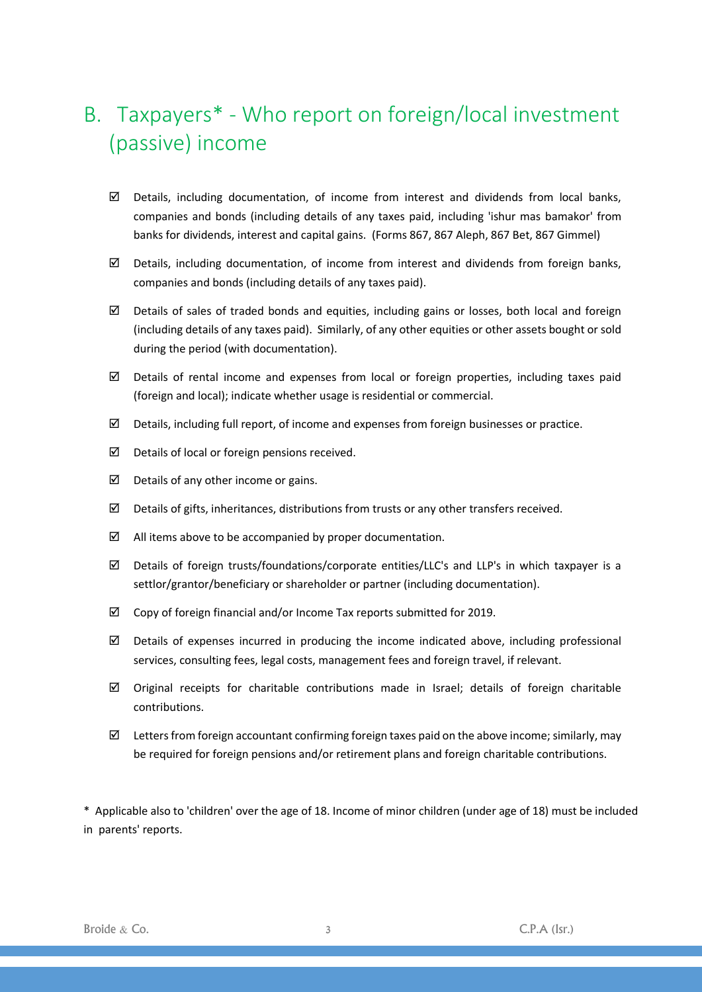## B. Taxpayers\* - Who report on foreign/local investment (passive) income

- $\boxtimes$  Details, including documentation, of income from interest and dividends from local banks, companies and bonds (including details of any taxes paid, including 'ishur mas bamakor' from banks for dividends, interest and capital gains. (Forms 867, 867 Aleph, 867 Bet, 867 Gimmel)
- $\boxtimes$  Details, including documentation, of income from interest and dividends from foreign banks, companies and bonds (including details of any taxes paid).
- $\boxtimes$  Details of sales of traded bonds and equities, including gains or losses, both local and foreign (including details of any taxes paid). Similarly, of any other equities or other assets bought or sold during the period (with documentation).
- $\boxtimes$  Details of rental income and expenses from local or foreign properties, including taxes paid (foreign and local); indicate whether usage is residential or commercial.
- $\boxtimes$  Details, including full report, of income and expenses from foreign businesses or practice.
- $\boxtimes$  Details of local or foreign pensions received.
- $\boxtimes$  Details of any other income or gains.
- $\boxtimes$  Details of gifts, inheritances, distributions from trusts or any other transfers received.
- $\boxtimes$  All items above to be accompanied by proper documentation.
- Details of foreign trusts/foundations/corporate entities/LLC's and LLP's in which taxpayer is a settlor/grantor/beneficiary or shareholder or partner (including documentation).
- $\boxtimes$  Copy of foreign financial and/or Income Tax reports submitted for 2019.
- $\boxtimes$  Details of expenses incurred in producing the income indicated above, including professional services, consulting fees, legal costs, management fees and foreign travel, if relevant.
- $\boxtimes$  Original receipts for charitable contributions made in Israel; details of foreign charitable contributions.
- $\boxtimes$  Letters from foreign accountant confirming foreign taxes paid on the above income; similarly, may be required for foreign pensions and/or retirement plans and foreign charitable contributions.

\* Applicable also to 'children' over the age of 18. Income of minor children (under age of 18) must be included in parents' reports.